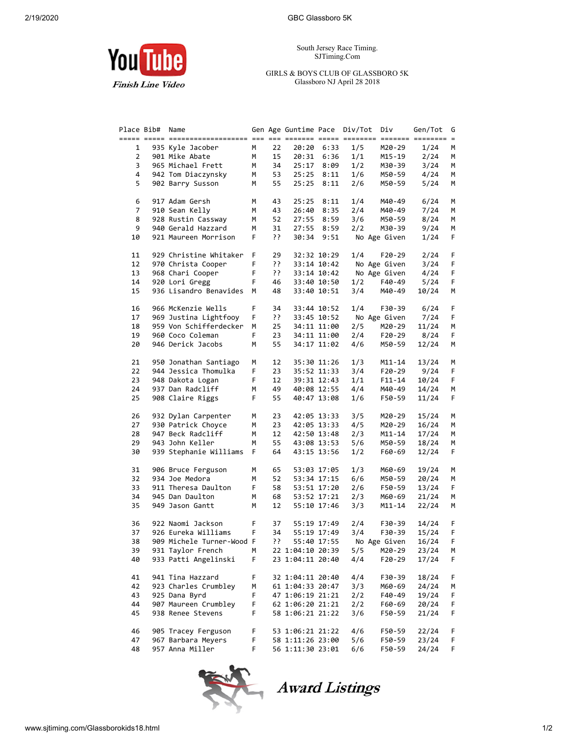**You** Tube

**Finish Line Video** 

South Jersey Race Timing. SJTiming.Com

GIRLS & BOYS CLUB OF GLASSBORO 5K Glassboro NJ April 28 2018

| Place Bib#     | Name                      |    |     | Gen Age Guntime Pace Div/Tot |             |     | Div          | Gen/Tot | G  |
|----------------|---------------------------|----|-----|------------------------------|-------------|-----|--------------|---------|----|
|                |                           |    |     |                              |             |     |              |         |    |
| 1              | 935 Kyle Jacober          | М  | 22  | 20:20                        | 6:33        | 1/5 | M20-29       | 1/24    | м  |
| $\overline{2}$ | 901 Mike Abate            | М  | 15  | 20:31                        | 6:36        | 1/1 | M15-19       | 2/24    | М  |
| 3              | 965 Michael Frett         | М  | 34  | 25:17                        | 8:09        | 1/2 | M30-39       | 3/24    | м  |
| 4              | 942 Tom Diaczynsky        | М  | 53  | 25:25                        | 8:11        | 1/6 | M50-59       | 4/24    | м  |
| 5              | 902 Barry Susson          | М  | 55  | 25:25                        | 8:11        | 2/6 | M50-59       | 5/24    | м  |
|                |                           |    |     |                              |             |     |              |         |    |
| 6              | 917 Adam Gersh            | М  | 43  | 25:25                        | 8:11        | 1/4 | M40-49       | 6/24    | м  |
| 7              | 910 Sean Kelly            | М  | 43  | 26:40                        | 8:35        | 2/4 | M40-49       | 7/24    | М  |
| 8              | 928 Rustin Cassway        | М  | 52  | 27:55                        | 8:59        | 3/6 | M50-59       | 8/24    | М  |
| 9              | 940 Gerald Hazzard        | М  | 31  | 27:55                        | 8:59        | 2/2 | M30-39       | 9/24    | м  |
| 10             | 921 Maureen Morrison      | F  | יִ  | 30:34                        | 9:51        |     | No Age Given | 1/24    | F  |
|                |                           |    |     |                              |             |     |              |         |    |
| 11             | 929 Christine Whitaker    | F  | 29  |                              | 32:32 10:29 | 1/4 | F20-29       | 2/24    | F  |
| 12             | 970 Christa Cooper        | F. | יִי |                              | 33:14 10:42 |     | No Age Given | 3/24    | F  |
| 13             | 968 Chari Cooper          | F. | יִ  |                              | 33:14 10:42 |     | No Age Given | 4/24    | F  |
| 14             | 920 Lori Gregg            | F. | 46  |                              | 33:40 10:50 | 1/2 | F40-49       | 5/24    | F  |
| 15             | 936 Lisandro Benavides    | М  | 48  |                              | 33:40 10:51 | 3/4 | M40-49       | 10/24   | м  |
|                |                           |    |     |                              |             |     |              |         |    |
| 16             | 966 McKenzie Wells        | F  | 34  |                              | 33:44 10:52 | 1/4 | F30-39       | 6/24    | F  |
| 17             | 969 Justina Lightfooy     | F  | ??  |                              | 33:45 10:52 |     | No Age Given | 7/24    | F. |
| 18             | 959 Von Schifferdecker    | М  | 25  |                              | 34:11 11:00 | 2/5 | M20-29       | 11/24   | М  |
| 19             | 960 Coco Coleman          | F  | 23  |                              | 34:11 11:00 | 2/4 | F20-29       | 8/24    | F  |
| 20             | 946 Derick Jacobs         | M  | 55  |                              | 34:17 11:02 | 4/6 | M50-59       | 12/24   | М  |
|                |                           |    |     |                              |             |     |              |         |    |
| 21             | 950 Jonathan Santiago     | М  | 12  |                              | 35:30 11:26 | 1/3 | M11-14       | 13/24   | М  |
| 22             | 944 Jessica Thomulka      | F. | 23  |                              | 35:52 11:33 | 3/4 | F20-29       | 9/24    | F  |
| 23             | 948 Dakota Logan          | F. | 12  |                              | 39:31 12:43 | 1/1 | F11-14       | 10/24   | F  |
| 24             | 937 Dan Radcliff          | М  | 49  |                              | 40:08 12:55 | 4/4 | M40-49       | 14/24   | м  |
| 25             | 908 Claire Riggs          | F  | 55  |                              | 40:47 13:08 | 1/6 | F50-59       | 11/24   | F  |
|                |                           |    |     |                              |             |     |              |         |    |
| 26             | 932 Dylan Carpenter       | М  | 23  |                              | 42:05 13:33 | 3/5 | M20-29       | 15/24   | м  |
| 27             | 930 Patrick Choyce        | М  | 23  |                              | 42:05 13:33 | 4/5 | M20-29       | 16/24   | М  |
| 28             | 947 Beck Radcliff         | М  | 12  |                              | 42:50 13:48 | 2/3 | M11-14       | 17/24   | М  |
| 29             | 943 John Keller           | М  | 55  |                              | 43:08 13:53 | 5/6 | M50-59       | 18/24   | м  |
| 30             | 939 Stephanie Williams    | F  | 64  |                              | 43:15 13:56 | 1/2 | F60-69       | 12/24   | F  |
|                |                           |    |     |                              |             |     |              |         |    |
| 31             | 906 Bruce Ferguson        | М  | 65  |                              | 53:03 17:05 | 1/3 | M60-69       | 19/24   | М  |
| 32             | 934 Joe Medora            | М  | 52  |                              | 53:34 17:15 | 6/6 | M50-59       | 20/24   | м  |
| 33             | 911 Theresa Daulton       | F  | 58  |                              | 53:51 17:20 | 2/6 | F50-59       | 13/24   | F  |
| 34             | 945 Dan Daulton           | М  | 68  |                              | 53:52 17:21 | 2/3 | M60-69       | 21/24   | М  |
| 35             | 949 Jason Gantt           | М  | 12  |                              | 55:10 17:46 | 3/3 | M11-14       | 22/24   | м  |
|                |                           | F  |     |                              |             |     | F30-39       | 14/24   | F  |
| 36             | 922 Naomi Jackson         |    | 37  |                              | 55:19 17:49 | 2/4 |              |         | F. |
| 37             | 926 Eureka Williams       | F. | 34  |                              | 55:19 17:49 | 3/4 | F30-39       | 15/24   |    |
| 38             | 909 Michele Turner-Wood F |    | יִ  |                              | 55:40 17:55 |     | No Age Given | 16/24   | F  |
| 39             | 931 Taylor French         | М  |     | 22 1:04:10 20:39             |             | 5/5 | M20-29       | 23/24   | м  |
| 40             | 933 Patti Angelinski      | F  |     | 23 1:04:11 20:40             |             | 4/4 | F20-29       | 17/24   | F  |
| 41             | 941 Tina Hazzard          | F  |     | 32 1:04:11 20:40             |             | 4/4 | F30-39       | 18/24   | F  |
| 42             | 923 Charles Crumbley      | М  |     | 61 1:04:33 20:47             |             | 3/3 | M60-69       | 24/24   | м  |
| 43             | 925 Dana Byrd             | F  |     | 47 1:06:19 21:21             |             | 2/2 | F40-49       | 19/24   | F  |
| 44             | 907 Maureen Crumbley      | F  |     | 62 1:06:20 21:21             |             | 2/2 | F60-69       | 20/24   | F  |
| 45             | 938 Renee Stevens         | F  |     | 58 1:06:21 21:22             |             | 3/6 |              |         | F  |
|                |                           |    |     |                              |             |     | F50-59       | 21/24   |    |
| 46             | 905 Tracey Ferguson       | F  |     | 53 1:06:21 21:22             |             | 4/6 | F50-59       | 22/24   | F  |
| 47             | 967 Barbara Meyers        | F  |     | 58 1:11:26 23:00             |             | 5/6 | F50-59       | 23/24   | F  |
| 48             | 957 Anna Miller           | F  |     | 56 1:11:30 23:01             |             | 6/6 | F50-59       | 24/24   | F  |
|                |                           |    |     |                              |             |     |              |         |    |



Award Listings